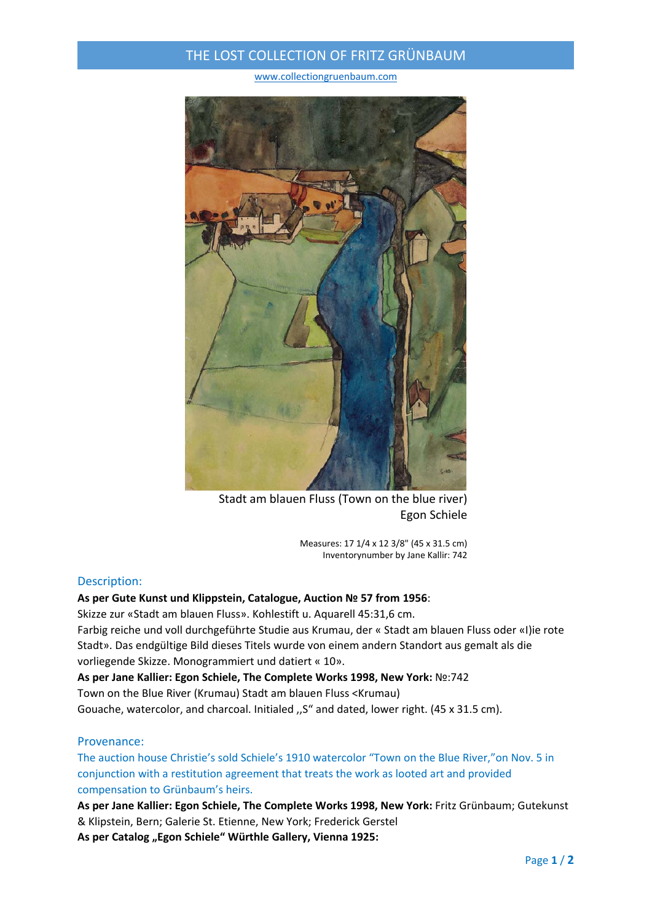## THE LOST COLLECTION OF FRITZ GRÜNBAUM

www.collectiongruenbaum.com



Stadt am blauen Fluss (Town on the blue river) Egon Schiele

Measures: 17 1/4 x 12 3/8" (45 x 31.5 cm) Inventorynumber by Jane Kallir: 742

### Description:

#### **As per Gute Kunst und Klippstein, Catalogue, Auction № 57 from 1956**:

Skizze zur «Stadt am blauen Fluss». Kohlestift u. Aquarell 45:31,6 cm.

Farbig reiche und voll durchgeführte Studie aus Krumau, der « Stadt am blauen Fluss oder «I)ie rote Stadt». Das endgültige Bild dieses Titels wurde von einem andern Standort aus gemalt als die vorliegende Skizze. Monogrammiert und datiert « 10».

**As per Jane Kallier: Egon Schiele, The Complete Works 1998, New York:** №:742 Town on the Blue River (Krumau) Stadt am blauen Fluss <Krumau) Gouache, watercolor, and charcoal. Initialed ,,S" and dated, lower right. (45 x 31.5 cm).

### Provenance:

The auction house Christie's sold Schiele's 1910 watercolor "Town on the Blue River,"on Nov. 5 in conjunction with a restitution agreement that treats the work as looted art and provided compensation to Grünbaum's heirs.

**As per Jane Kallier: Egon Schiele, The Complete Works 1998, New York:** Fritz Grünbaum; Gutekunst & Klipstein, Bern; Galerie St. Etienne, New York; Frederick Gerstel

**As per Catalog "Egon Schiele" Würthle Gallery, Vienna 1925:**